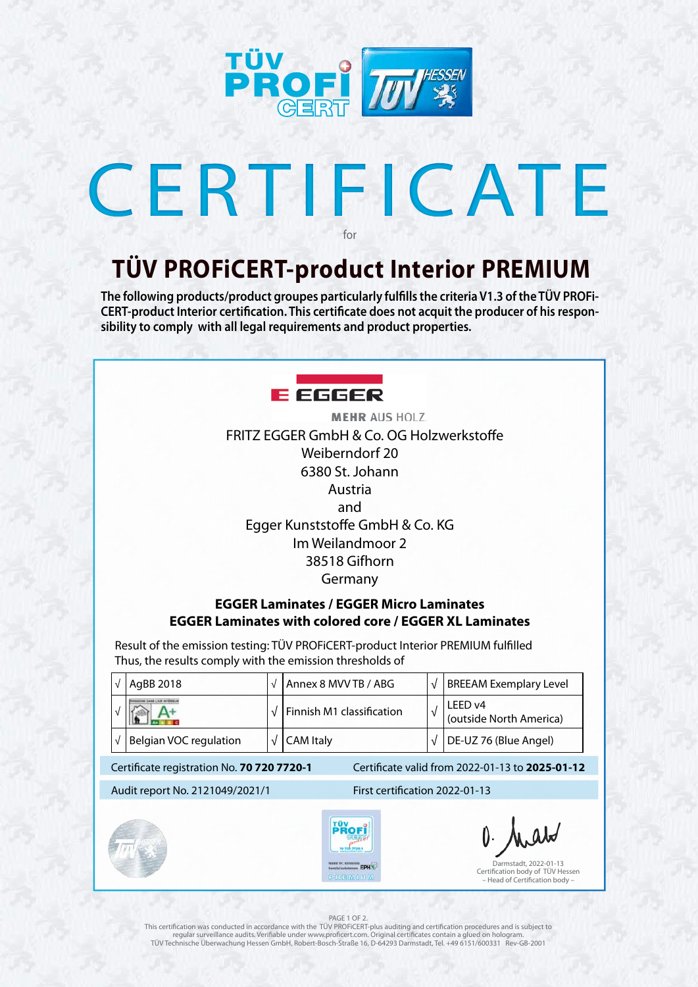

## CERTIFICATE for

## **TÜV PROFiCERT-product Interior PREMIUM**

**The following products/product groupes particularly fulfills the criteria V1.3 of the TÜV PROFi-CERT-product Interior certification. This certificate does not acquit the producer of his responsibility to comply with all legal requirements and product properties.** 



### PAGE 1 OF 2.

| $\sqrt{ }$                                                                                    | Annex 8 MVV TB / ABG                            | $\sqrt{ }$ | <b>BREEAM Exemplary Level</b>                                           |  |
|-----------------------------------------------------------------------------------------------|-------------------------------------------------|------------|-------------------------------------------------------------------------|--|
| $\sqrt{ }$                                                                                    | Finnish M1 classification                       | $\sqrt{ }$ | LEED v4<br>(outside North America)                                      |  |
| $\sqrt{ }$                                                                                    | <b>CAM Italy</b>                                | $\sqrt{ }$ | DE-UZ 76 (Blue Angel)                                                   |  |
| Certificate valid from 2022-01-13 to 2025-01-12<br>Certificate registration No. 70 720 7720-1 |                                                 |            |                                                                         |  |
|                                                                                               | First certification 2022-01-13                  |            |                                                                         |  |
|                                                                                               | TÛV<br>70 720 7720-<br>harmtel substances EPH N |            | $0.$ Analo<br>Darmstadt, 2022-01-13<br>Certification body of TÜV Hessen |  |
|                                                                                               | Audit report No. 2121049/2021/1                 |            |                                                                         |  |

This certification was conducted in accordance with the TÜV PROFiCERT-plus auditing and certification procedures and is subject to regular surveillance audits. Verifiable under www.proficert.com. Original certificates contain a glued on hologram. TÜV Technische Überwachung Hessen GmbH, Robert-Bosch-Straße 16, D-64293 Darmstadt, Tel. +49 6151/600331 Rev-GB-2001

**MEHR AUS HOLZ.** FRITZ EGGER GmbH & Co. OG Holzwerkstoffe Weiberndorf 20 6380 St. Johann Austria and Egger Kunststoffe GmbH & Co. KG Im Weilandmoor 2 38518 Gifhorn Germany

### **EGGER Laminates / EGGER Micro Laminates EGGER Laminates with colored core / EGGER XL Laminates**

Result of the emission testing: TÜV PROFiCERT-product Interior PREMIUM fulfilled Thus, the results comply with the emission thresholds of